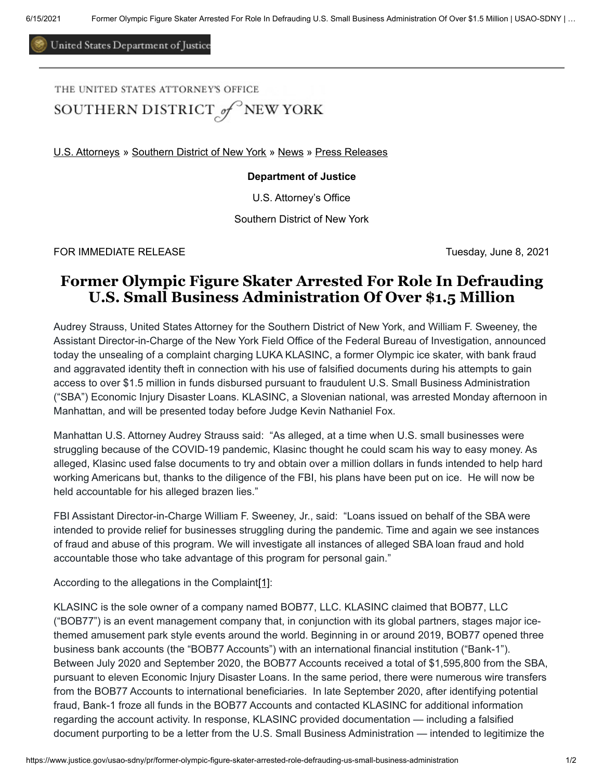United States Department of Justice

## THE UNITED STATES ATTORNEY'S OFFICE SOUTHERN DISTRICT of NEW YORK

[U.S. Attorneys](https://www.justice.gov/usao) » [Southern District of New York](https://www.justice.gov/usao-sdny) » [News](https://www.justice.gov/usao-sdny/news) » [Press Releases](https://www.justice.gov/usao-sdny/pr)

## **Department of Justice**

U.S. Attorney's Office

Southern District of New York

FOR IMMEDIATE RELEASE Tuesday, June 8, 2021

## **Former Olympic Figure Skater Arrested For Role In Defrauding U.S. Small Business Administration Of Over \$1.5 Million**

Audrey Strauss, United States Attorney for the Southern District of New York, and William F. Sweeney, the Assistant Director-in-Charge of the New York Field Office of the Federal Bureau of Investigation, announced today the unsealing of a complaint charging LUKA KLASINC, a former Olympic ice skater, with bank fraud and aggravated identity theft in connection with his use of falsified documents during his attempts to gain access to over \$1.5 million in funds disbursed pursuant to fraudulent U.S. Small Business Administration ("SBA") Economic Injury Disaster Loans. KLASINC, a Slovenian national, was arrested Monday afternoon in Manhattan, and will be presented today before Judge Kevin Nathaniel Fox.

Manhattan U.S. Attorney Audrey Strauss said: "As alleged, at a time when U.S. small businesses were struggling because of the COVID-19 pandemic, Klasinc thought he could scam his way to easy money. As alleged, Klasinc used false documents to try and obtain over a million dollars in funds intended to help hard working Americans but, thanks to the diligence of the FBI, his plans have been put on ice. He will now be held accountable for his alleged brazen lies."

FBI Assistant Director-in-Charge William F. Sweeney, Jr., said: "Loans issued on behalf of the SBA were intended to provide relief for businesses struggling during the pandemic. Time and again we see instances of fraud and abuse of this program. We will investigate all instances of alleged SBA loan fraud and hold accountable those who take advantage of this program for personal gain."

<span id="page-0-0"></span>According to the allegations in the Complain[t\[1\]:](#page-1-0)

KLASINC is the sole owner of a company named BOB77, LLC. KLASINC claimed that BOB77, LLC ("BOB77") is an event management company that, in conjunction with its global partners, stages major icethemed amusement park style events around the world. Beginning in or around 2019, BOB77 opened three business bank accounts (the "BOB77 Accounts") with an international financial institution ("Bank-1"). Between July 2020 and September 2020, the BOB77 Accounts received a total of \$1,595,800 from the SBA, pursuant to eleven Economic Injury Disaster Loans. In the same period, there were numerous wire transfers from the BOB77 Accounts to international beneficiaries. In late September 2020, after identifying potential fraud, Bank-1 froze all funds in the BOB77 Accounts and contacted KLASINC for additional information regarding the account activity. In response, KLASINC provided documentation — including a falsified document purporting to be a letter from the U.S. Small Business Administration — intended to legitimize the